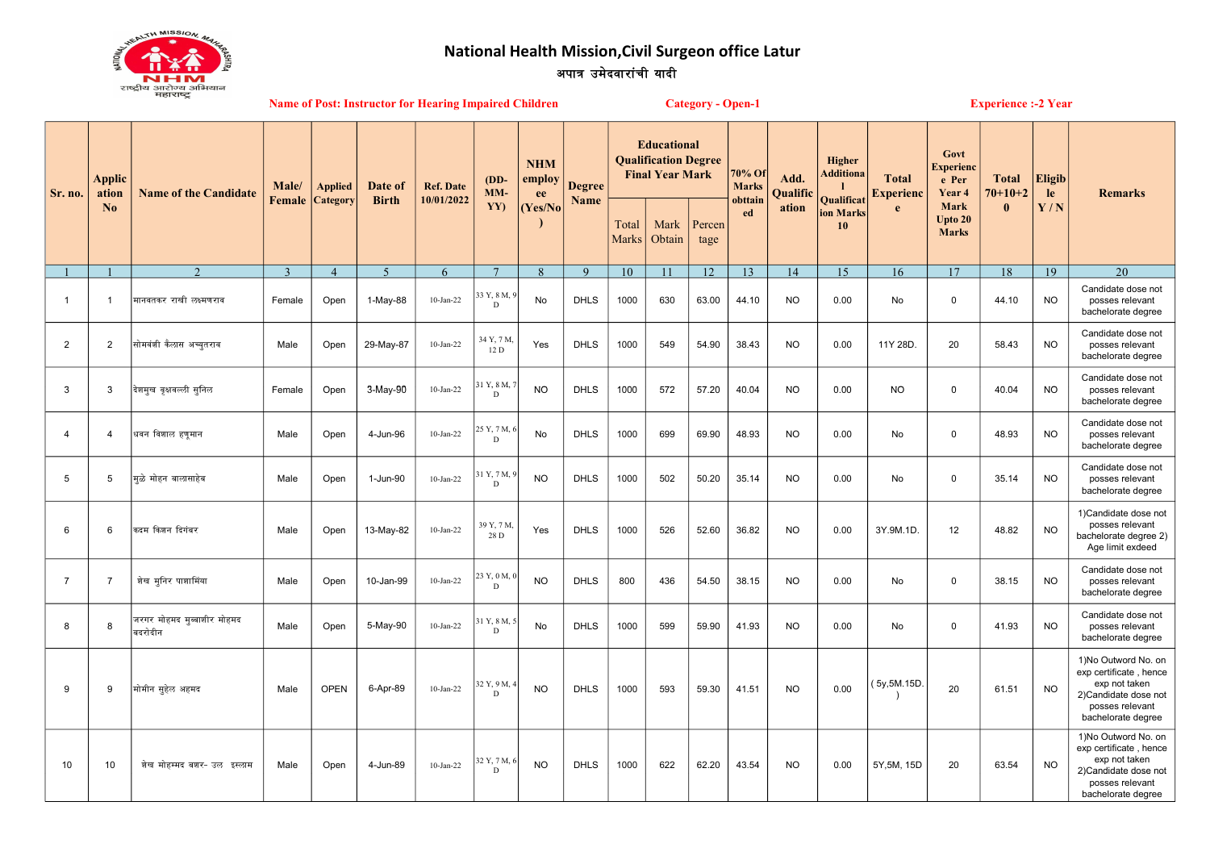्<br>अपात्र उमेदवारांची यादी National Health Mission,Civil Surgeon office Latur



| ныкій<br><b>Name of Post: Instructor for Hearing Impaired Children</b> |                                          |                                       |                 |                                   |                         |                                |                              |                                        |                       |                                                                             | <b>Category - Open-1</b><br><b>Experience :- 2 Year</b> |                  |                                   |                         |                                          |                                  |                                             |                           |                      |                                                                                                                                 |
|------------------------------------------------------------------------|------------------------------------------|---------------------------------------|-----------------|-----------------------------------|-------------------------|--------------------------------|------------------------------|----------------------------------------|-----------------------|-----------------------------------------------------------------------------|---------------------------------------------------------|------------------|-----------------------------------|-------------------------|------------------------------------------|----------------------------------|---------------------------------------------|---------------------------|----------------------|---------------------------------------------------------------------------------------------------------------------------------|
| Sr. no.                                                                | <b>Applic</b><br>ation<br>$\mathbf{N_0}$ | <b>Name of the Candidate</b>          | Male/<br>Female | <b>Applied</b><br><b>Category</b> | Date of<br><b>Birth</b> | <b>Ref. Date</b><br>10/01/2022 | $(DD-$<br>$MM-$<br>YY)       | <b>NHM</b><br>employ<br>ee<br>(Yes/No) | <b>Degree</b><br>Name | <b>Educational</b><br><b>Qualification Degree</b><br><b>Final Year Mark</b> |                                                         |                  | 70% Of<br><b>Marks</b><br>obttain | Add.<br><b>Oualific</b> | Higher<br><b>Additiona</b><br>Qualificat | <b>Total</b><br><b>Experienc</b> | Govt<br><b>Experienc</b><br>e Per<br>Year 4 | <b>Total</b><br>$70+10+2$ | <b>Eligib</b><br>le. | <b>Remarks</b>                                                                                                                  |
|                                                                        |                                          |                                       |                 |                                   |                         |                                |                              |                                        |                       | Total<br><b>Marks</b>                                                       | Mark<br>Obtain                                          | Percen<br>tage   | ed                                | ation                   | ion Marks<br>10                          | e                                | Mark<br>Upto 20<br><b>Marks</b>             | $\mathbf{0}$              | Y/N                  |                                                                                                                                 |
|                                                                        |                                          | $\mathcal{D}$                         | $\mathcal{R}$   | $\overline{4}$                    | $\overline{5}$          | 6                              | $\overline{7}$               | $\mathbf{8}$                           | $\mathbf{Q}$          | 10                                                                          | 11                                                      | 12 <sub>12</sub> | 13                                | 14                      | 15                                       | 16                               | 17                                          | 18                        | 19                   | 20                                                                                                                              |
| $\overline{1}$                                                         |                                          | मानवतकर राखी लक्ष्मणराव               | Female          | Open                              | 1-May-88                | $10$ -Jan-22                   | 33 Y, 8 M,<br>$\mathbf{D}$   | No                                     | <b>DHLS</b>           | 1000                                                                        | 630                                                     | 63.00            | 44.10                             | <b>NO</b>               | 0.00                                     | No                               | $\mathbf 0$                                 | 44.10                     | <b>NO</b>            | Candidate dose not<br>posses relevant<br>bachelorate degree                                                                     |
| $\overline{2}$                                                         | 2                                        | सोमवंशी कैलास अच्युतराव               | Male            | Open                              | 29-May-87               | $10$ -Jan-22                   | 34 Y, 7 M,<br>12D            | Yes                                    | <b>DHLS</b>           | 1000                                                                        | 549                                                     | 54.90            | 38.43                             | <b>NO</b>               | 0.00                                     | 11Y 28D.                         | 20                                          | 58.43                     | <b>NO</b>            | Candidate dose not<br>posses relevant<br>bachelorate degree                                                                     |
| $\mathbf{3}$                                                           | 3                                        | देशमुख वृक्षवल्ली सुनिल               | Female          | Open                              | 3-May-90                | $10$ -Jan-22                   | 31 Y, 8 M,<br>D              | <b>NO</b>                              | <b>DHLS</b>           | 1000                                                                        | 572                                                     | 57.20            | 40.04                             | <b>NO</b>               | 0.00                                     | <b>NO</b>                        | 0                                           | 40.04                     | <b>NO</b>            | Candidate dose not<br>posses relevant<br>bachelorate degree                                                                     |
| $\overline{4}$                                                         | 4                                        | धवन विशाल हणुमान                      | Male            | Open                              | 4-Jun-96                | $10$ -Jan-22                   | 25 Y, 7 M,<br>$\mathbf{D}$   | No                                     | <b>DHLS</b>           | 1000                                                                        | 699                                                     | 69.90            | 48.93                             | <b>NO</b>               | 0.00                                     | No                               | $\mathsf 0$                                 | 48.93                     | <b>NO</b>            | Candidate dose not<br>posses relevant<br>bachelorate degree                                                                     |
| 5                                                                      | 5                                        | मुळे मोहन बालासाहेब                   | Male            | Open                              | 1-Jun-90                | $10$ -Jan-22                   | 1 Y, 7 M,<br>$\mathbf{D}$    | <b>NO</b>                              | <b>DHLS</b>           | 1000                                                                        | 502                                                     | 50.20            | 35.14                             | <b>NO</b>               | 0.00                                     | No                               | $\mathsf 0$                                 | 35.14                     | <b>NO</b>            | Candidate dose not<br>posses relevant<br>bachelorate degree                                                                     |
| 6                                                                      | 6                                        | कदम किशन दिगंबर                       | Male            | Open                              | 13-May-82               | $10$ -Jan-22                   | 39 Y, 7 M,<br>28 D           | Yes                                    | <b>DHLS</b>           | 1000                                                                        | 526                                                     | 52.60            | 36.82                             | <b>NO</b>               | 0.00                                     | 3Y.9M.1D.                        | 12                                          | 48.82                     | <b>NO</b>            | 1) Candidate dose not<br>posses relevant<br>bachelorate degree 2)<br>Age limit exdeed                                           |
| $\overline{7}$                                                         | $\overline{7}$                           | शेख मूनिर पाशामिंया                   | Male            | Open                              | 10-Jan-99               | $10$ -Jan-22                   | 23 Y, 0 M,<br>D              | <b>NO</b>                              | <b>DHLS</b>           | 800                                                                         | 436                                                     | 54.50            | 38.15                             | <b>NO</b>               | 0.00                                     | No                               | 0                                           | 38.15                     | NO.                  | Candidate dose not<br>posses relevant<br>bachelorate degree                                                                     |
| 8                                                                      | 8                                        | जरगर मोहमद मूब्बाशीर मोहमद<br>बदरोदीन | Male            | Open                              | 5-May-90                | $10$ -Jan-22                   | 31 Y, 8 M, 5<br>$\mathbf{D}$ | No                                     | <b>DHLS</b>           | 1000                                                                        | 599                                                     | 59.90            | 41.93                             | NO.                     | 0.00                                     | No                               | 0                                           | 41.93                     | NO.                  | Candidate dose not<br>posses relevant<br>bachelorate degree                                                                     |
| 9                                                                      | 9                                        | मोमीन सुहेल अहमद                      | Male            | <b>OPEN</b>                       | 6-Apr-89                | $10$ -Jan-22                   | 32 Y, 9 M, 4<br>D            | <b>NO</b>                              | <b>DHLS</b>           | 1000                                                                        | 593                                                     | 59.30            | 41.51                             | <b>NO</b>               | 0.00                                     | (5y,5M.15D.                      | 20                                          | 61.51                     | NO.                  | 1)No Outword No. on<br>exp certificate, hence<br>exp not taken<br>2)Candidate dose not<br>posses relevant<br>bachelorate degree |
| 10                                                                     | 10                                       | शेख मोहम्मद बशर- उल इस्लाम            | Male            | Open                              | 4-Jun-89                | $10$ -Jan-22                   | 32 Y, 7 M, 6<br>D            | <b>NO</b>                              | <b>DHLS</b>           | 1000                                                                        | 622                                                     | 62.20            | 43.54                             | <b>NO</b>               | 0.00                                     | 5Y, 5M, 15D                      | 20                                          | 63.54                     | <b>NO</b>            | 1)No Outword No. on<br>exp certificate, hence<br>exp not taken<br>2)Candidate dose not<br>posses relevant<br>bachelorate degree |